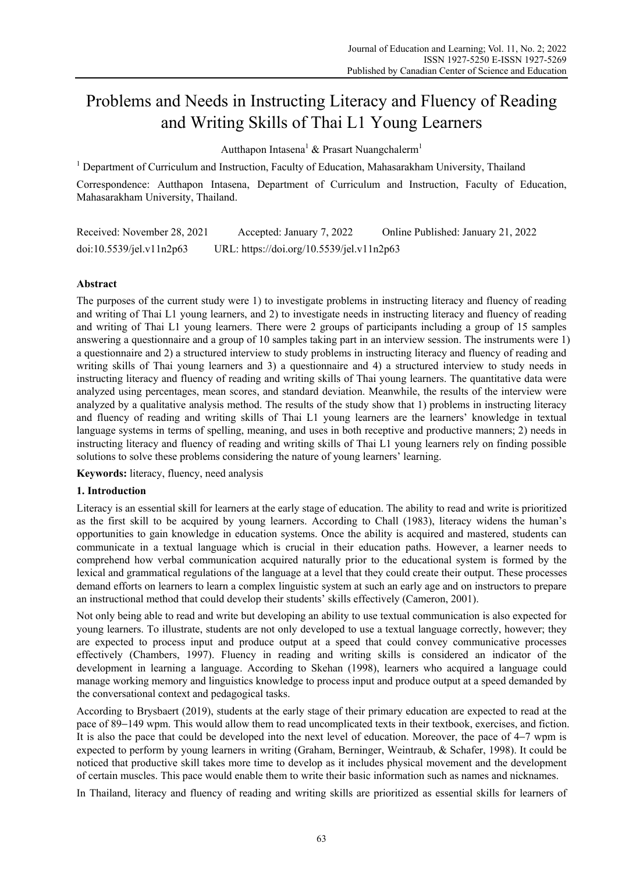# Problems and Needs in Instructing Literacy and Fluency of Reading and Writing Skills of Thai L1 Young Learners

Autthapon Intasena<sup>1</sup> & Prasart Nuangchalerm<sup>1</sup>

<sup>1</sup> Department of Curriculum and Instruction, Faculty of Education, Mahasarakham University, Thailand

Correspondence: Autthapon Intasena, Department of Curriculum and Instruction, Faculty of Education, Mahasarakham University, Thailand.

Received: November 28, 2021 Accepted: January 7, 2022 Online Published: January 21, 2022 doi:10.5539/jel.v11n2p63 URL: https://doi.org/10.5539/jel.v11n2p63

# **Abstract**

The purposes of the current study were 1) to investigate problems in instructing literacy and fluency of reading and writing of Thai L1 young learners, and 2) to investigate needs in instructing literacy and fluency of reading and writing of Thai L1 young learners. There were 2 groups of participants including a group of 15 samples answering a questionnaire and a group of 10 samples taking part in an interview session. The instruments were 1) a questionnaire and 2) a structured interview to study problems in instructing literacy and fluency of reading and writing skills of Thai young learners and 3) a questionnaire and 4) a structured interview to study needs in instructing literacy and fluency of reading and writing skills of Thai young learners. The quantitative data were analyzed using percentages, mean scores, and standard deviation. Meanwhile, the results of the interview were analyzed by a qualitative analysis method. The results of the study show that 1) problems in instructing literacy and fluency of reading and writing skills of Thai L1 young learners are the learners' knowledge in textual language systems in terms of spelling, meaning, and uses in both receptive and productive manners; 2) needs in instructing literacy and fluency of reading and writing skills of Thai L1 young learners rely on finding possible solutions to solve these problems considering the nature of young learners' learning.

**Keywords:** literacy, fluency, need analysis

# **1. Introduction**

Literacy is an essential skill for learners at the early stage of education. The ability to read and write is prioritized as the first skill to be acquired by young learners. According to Chall (1983), literacy widens the human's opportunities to gain knowledge in education systems. Once the ability is acquired and mastered, students can communicate in a textual language which is crucial in their education paths. However, a learner needs to comprehend how verbal communication acquired naturally prior to the educational system is formed by the lexical and grammatical regulations of the language at a level that they could create their output. These processes demand efforts on learners to learn a complex linguistic system at such an early age and on instructors to prepare an instructional method that could develop their students' skills effectively (Cameron, 2001).

Not only being able to read and write but developing an ability to use textual communication is also expected for young learners. To illustrate, students are not only developed to use a textual language correctly, however; they are expected to process input and produce output at a speed that could convey communicative processes effectively (Chambers, 1997). Fluency in reading and writing skills is considered an indicator of the development in learning a language. According to Skehan (1998), learners who acquired a language could manage working memory and linguistics knowledge to process input and produce output at a speed demanded by the conversational context and pedagogical tasks.

According to Brysbaert (2019), students at the early stage of their primary education are expected to read at the pace of 89−149 wpm. This would allow them to read uncomplicated texts in their textbook, exercises, and fiction. It is also the pace that could be developed into the next level of education. Moreover, the pace of 4−7 wpm is expected to perform by young learners in writing (Graham, Berninger, Weintraub, & Schafer, 1998). It could be noticed that productive skill takes more time to develop as it includes physical movement and the development of certain muscles. This pace would enable them to write their basic information such as names and nicknames.

In Thailand, literacy and fluency of reading and writing skills are prioritized as essential skills for learners of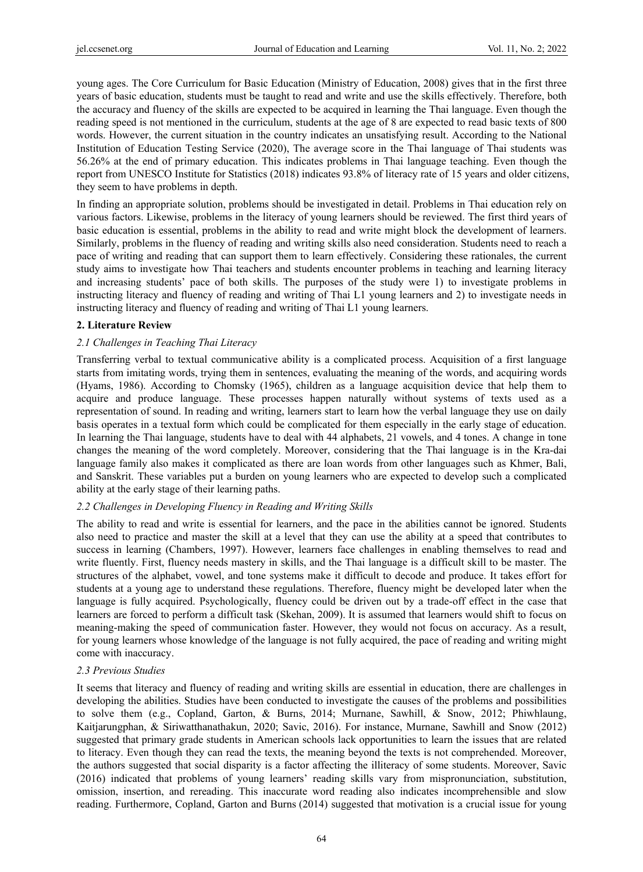young ages. The Core Curriculum for Basic Education (Ministry of Education, 2008) gives that in the first three years of basic education, students must be taught to read and write and use the skills effectively. Therefore, both the accuracy and fluency of the skills are expected to be acquired in learning the Thai language. Even though the reading speed is not mentioned in the curriculum, students at the age of 8 are expected to read basic texts of 800 words. However, the current situation in the country indicates an unsatisfying result. According to the National Institution of Education Testing Service (2020), The average score in the Thai language of Thai students was 56.26% at the end of primary education. This indicates problems in Thai language teaching. Even though the report from UNESCO Institute for Statistics (2018) indicates 93.8% of literacy rate of 15 years and older citizens, they seem to have problems in depth.

In finding an appropriate solution, problems should be investigated in detail. Problems in Thai education rely on various factors. Likewise, problems in the literacy of young learners should be reviewed. The first third years of basic education is essential, problems in the ability to read and write might block the development of learners. Similarly, problems in the fluency of reading and writing skills also need consideration. Students need to reach a pace of writing and reading that can support them to learn effectively. Considering these rationales, the current study aims to investigate how Thai teachers and students encounter problems in teaching and learning literacy and increasing students' pace of both skills. The purposes of the study were 1) to investigate problems in instructing literacy and fluency of reading and writing of Thai L1 young learners and 2) to investigate needs in instructing literacy and fluency of reading and writing of Thai L1 young learners.

## **2. Literature Review**

# *2.1 Challenges in Teaching Thai Literacy*

Transferring verbal to textual communicative ability is a complicated process. Acquisition of a first language starts from imitating words, trying them in sentences, evaluating the meaning of the words, and acquiring words (Hyams, 1986). According to Chomsky (1965), children as a language acquisition device that help them to acquire and produce language. These processes happen naturally without systems of texts used as a representation of sound. In reading and writing, learners start to learn how the verbal language they use on daily basis operates in a textual form which could be complicated for them especially in the early stage of education. In learning the Thai language, students have to deal with 44 alphabets, 21 vowels, and 4 tones. A change in tone changes the meaning of the word completely. Moreover, considering that the Thai language is in the Kra-dai language family also makes it complicated as there are loan words from other languages such as Khmer, Bali, and Sanskrit. These variables put a burden on young learners who are expected to develop such a complicated ability at the early stage of their learning paths.

# *2.2 Challenges in Developing Fluency in Reading and Writing Skills*

The ability to read and write is essential for learners, and the pace in the abilities cannot be ignored. Students also need to practice and master the skill at a level that they can use the ability at a speed that contributes to success in learning (Chambers, 1997). However, learners face challenges in enabling themselves to read and write fluently. First, fluency needs mastery in skills, and the Thai language is a difficult skill to be master. The structures of the alphabet, vowel, and tone systems make it difficult to decode and produce. It takes effort for students at a young age to understand these regulations. Therefore, fluency might be developed later when the language is fully acquired. Psychologically, fluency could be driven out by a trade-off effect in the case that learners are forced to perform a difficult task (Skehan, 2009). It is assumed that learners would shift to focus on meaning-making the speed of communication faster. However, they would not focus on accuracy. As a result, for young learners whose knowledge of the language is not fully acquired, the pace of reading and writing might come with inaccuracy.

# *2.3 Previous Studies*

It seems that literacy and fluency of reading and writing skills are essential in education, there are challenges in developing the abilities. Studies have been conducted to investigate the causes of the problems and possibilities to solve them (e.g., Copland, Garton, & Burns, 2014; Murnane, Sawhill, & Snow, 2012; Phiwhlaung, Kaitjarungphan, & Siriwatthanathakun, 2020; Savic, 2016). For instance, Murnane, Sawhill and Snow (2012) suggested that primary grade students in American schools lack opportunities to learn the issues that are related to literacy. Even though they can read the texts, the meaning beyond the texts is not comprehended. Moreover, the authors suggested that social disparity is a factor affecting the illiteracy of some students. Moreover, Savic (2016) indicated that problems of young learners' reading skills vary from mispronunciation, substitution, omission, insertion, and rereading. This inaccurate word reading also indicates incomprehensible and slow reading. Furthermore, Copland, Garton and Burns (2014) suggested that motivation is a crucial issue for young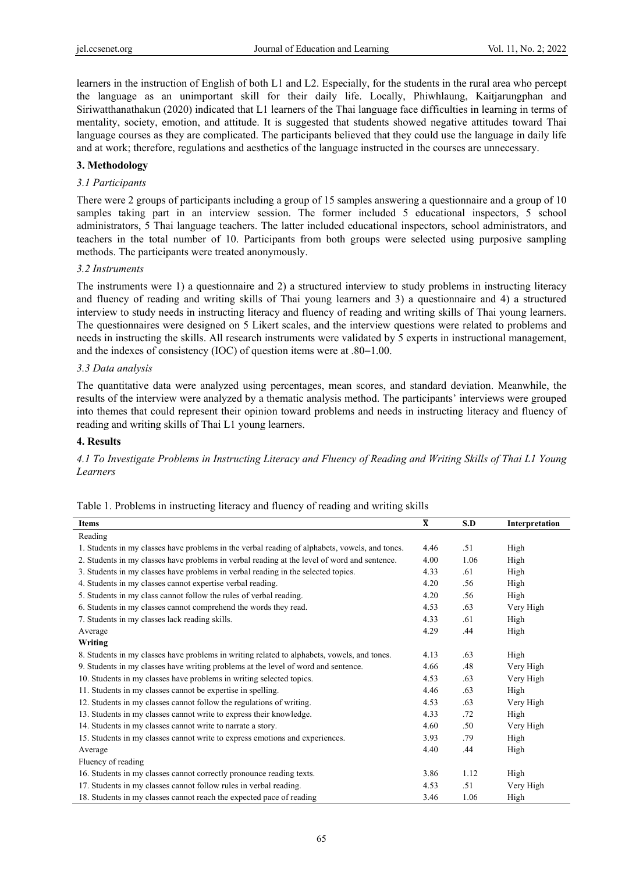learners in the instruction of English of both L1 and L2. Especially, for the students in the rural area who percept the language as an unimportant skill for their daily life. Locally, Phiwhlaung, Kaitjarungphan and Siriwatthanathakun (2020) indicated that L1 learners of the Thai language face difficulties in learning in terms of mentality, society, emotion, and attitude. It is suggested that students showed negative attitudes toward Thai language courses as they are complicated. The participants believed that they could use the language in daily life and at work; therefore, regulations and aesthetics of the language instructed in the courses are unnecessary.

## **3. Methodology**

## *3.1 Participants*

There were 2 groups of participants including a group of 15 samples answering a questionnaire and a group of 10 samples taking part in an interview session. The former included 5 educational inspectors, 5 school administrators, 5 Thai language teachers. The latter included educational inspectors, school administrators, and teachers in the total number of 10. Participants from both groups were selected using purposive sampling methods. The participants were treated anonymously.

#### *3.2 Instruments*

The instruments were 1) a questionnaire and 2) a structured interview to study problems in instructing literacy and fluency of reading and writing skills of Thai young learners and 3) a questionnaire and 4) a structured interview to study needs in instructing literacy and fluency of reading and writing skills of Thai young learners. The questionnaires were designed on 5 Likert scales, and the interview questions were related to problems and needs in instructing the skills. All research instruments were validated by 5 experts in instructional management, and the indexes of consistency (IOC) of question items were at .80−1.00.

## *3.3 Data analysis*

The quantitative data were analyzed using percentages, mean scores, and standard deviation. Meanwhile, the results of the interview were analyzed by a thematic analysis method. The participants' interviews were grouped into themes that could represent their opinion toward problems and needs in instructing literacy and fluency of reading and writing skills of Thai L1 young learners.

## **4. Results**

*4.1 To Investigate Problems in Instructing Literacy and Fluency of Reading and Writing Skills of Thai L1 Young Learners* 

|  |  |  |  |  | Table 1. Problems in instructing literacy and fluency of reading and writing skills |
|--|--|--|--|--|-------------------------------------------------------------------------------------|
|--|--|--|--|--|-------------------------------------------------------------------------------------|

| <b>Items</b>                                                                                   | $\overline{\mathbf{X}}$ | S.D  | Interpretation |
|------------------------------------------------------------------------------------------------|-------------------------|------|----------------|
| Reading                                                                                        |                         |      |                |
| 1. Students in my classes have problems in the verbal reading of alphabets, vowels, and tones. | 4.46                    | .51  | High           |
| 2. Students in my classes have problems in verbal reading at the level of word and sentence.   | 4.00                    | 1.06 | High           |
| 3. Students in my classes have problems in verbal reading in the selected topics.              | 4.33                    | .61  | High           |
| 4. Students in my classes cannot expertise verbal reading.                                     | 4.20                    | .56  | High           |
| 5. Students in my class cannot follow the rules of verbal reading.                             | 4.20                    | .56  | High           |
| 6. Students in my classes cannot comprehend the words they read.                               | 4.53                    | .63  | Very High      |
| 7. Students in my classes lack reading skills.                                                 | 4.33                    | .61  | High           |
| Average                                                                                        | 4.29                    | .44  | High           |
| Writing                                                                                        |                         |      |                |
| 8. Students in my classes have problems in writing related to alphabets, vowels, and tones.    | 4.13                    | .63  | High           |
| 9. Students in my classes have writing problems at the level of word and sentence.             | 4.66                    | .48  | Very High      |
| 10. Students in my classes have problems in writing selected topics.                           | 4.53                    | .63  | Very High      |
| 11. Students in my classes cannot be expertise in spelling.                                    | 4.46                    | .63  | High           |
| 12. Students in my classes cannot follow the regulations of writing.                           | 4.53                    | .63  | Very High      |
| 13. Students in my classes cannot write to express their knowledge.                            | 4.33                    | .72  | High           |
| 14. Students in my classes cannot write to narrate a story.                                    | 4.60                    | .50  | Very High      |
| 15. Students in my classes cannot write to express emotions and experiences.                   | 3.93                    | .79  | High           |
| Average                                                                                        | 4.40                    | .44  | High           |
| Fluency of reading                                                                             |                         |      |                |
| 16. Students in my classes cannot correctly pronounce reading texts.                           | 3.86                    | 1.12 | High           |
| 17. Students in my classes cannot follow rules in verbal reading.                              | 4.53                    | .51  | Very High      |
| 18. Students in my classes cannot reach the expected pace of reading                           | 3.46                    | 1.06 | High           |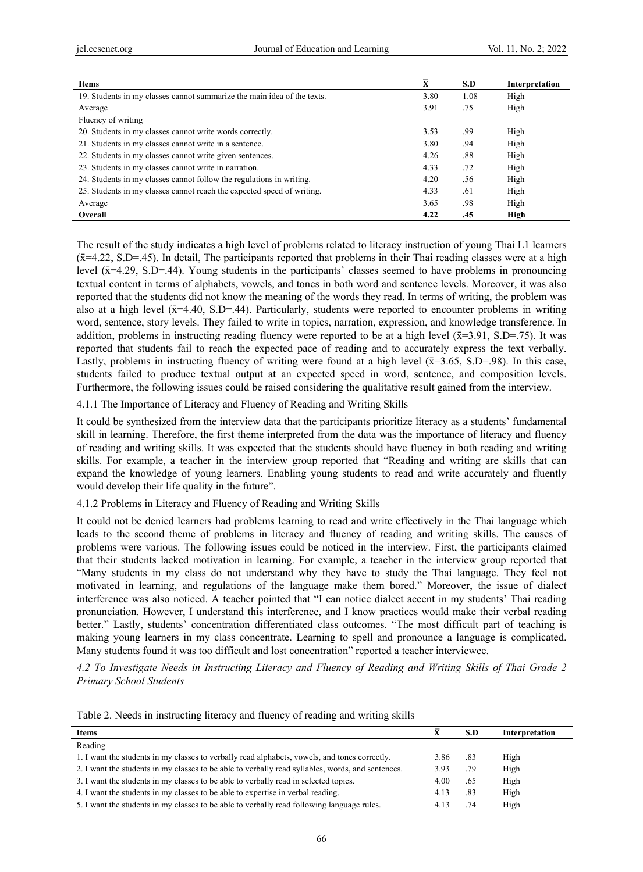| <b>Items</b>                                                            | $\bar{\textbf{X}}$ | S.D  | Interpretation |
|-------------------------------------------------------------------------|--------------------|------|----------------|
| 19. Students in my classes cannot summarize the main idea of the texts. | 3.80               | 1.08 | High           |
| Average                                                                 | 3.91               | .75  | High           |
| Fluency of writing                                                      |                    |      |                |
| 20. Students in my classes cannot write words correctly.                | 3.53               | .99  | High           |
| 21. Students in my classes cannot write in a sentence.                  | 3.80               | .94  | High           |
| 22. Students in my classes cannot write given sentences.                | 4.26               | .88  | High           |
| 23. Students in my classes cannot write in narration.                   | 4.33               | .72  | High           |
| 24. Students in my classes cannot follow the regulations in writing.    | 4.20               | .56  | High           |
| 25. Students in my classes cannot reach the expected speed of writing.  | 4.33               | .61  | High           |
| Average                                                                 | 3.65               | .98  | High           |
| Overall                                                                 | 4.22               | .45  | High           |

The result of the study indicates a high level of problems related to literacy instruction of young Thai L1 learners  $({\bar{x}}=4.22, S.D=45)$ . In detail, The participants reported that problems in their Thai reading classes were at a high level (x̄=4.29, S.D=.44). Young students in the participants' classes seemed to have problems in pronouncing textual content in terms of alphabets, vowels, and tones in both word and sentence levels. Moreover, it was also reported that the students did not know the meaning of the words they read. In terms of writing, the problem was also at a high level  $(\bar{x}=4.40, S.D=44)$ . Particularly, students were reported to encounter problems in writing word, sentence, story levels. They failed to write in topics, narration, expression, and knowledge transference. In addition, problems in instructing reading fluency were reported to be at a high level  $(\bar{x}=3.91, S.D=.75)$ . It was reported that students fail to reach the expected pace of reading and to accurately express the text verbally. Lastly, problems in instructing fluency of writing were found at a high level  $(\bar{x}=3.65, S.D=98)$ . In this case, students failed to produce textual output at an expected speed in word, sentence, and composition levels. Furthermore, the following issues could be raised considering the qualitative result gained from the interview.

4.1.1 The Importance of Literacy and Fluency of Reading and Writing Skills

It could be synthesized from the interview data that the participants prioritize literacy as a students' fundamental skill in learning. Therefore, the first theme interpreted from the data was the importance of literacy and fluency of reading and writing skills. It was expected that the students should have fluency in both reading and writing skills. For example, a teacher in the interview group reported that "Reading and writing are skills that can expand the knowledge of young learners. Enabling young students to read and write accurately and fluently would develop their life quality in the future".

4.1.2 Problems in Literacy and Fluency of Reading and Writing Skills

It could not be denied learners had problems learning to read and write effectively in the Thai language which leads to the second theme of problems in literacy and fluency of reading and writing skills. The causes of problems were various. The following issues could be noticed in the interview. First, the participants claimed that their students lacked motivation in learning. For example, a teacher in the interview group reported that "Many students in my class do not understand why they have to study the Thai language. They feel not motivated in learning, and regulations of the language make them bored." Moreover, the issue of dialect interference was also noticed. A teacher pointed that "I can notice dialect accent in my students' Thai reading pronunciation. However, I understand this interference, and I know practices would make their verbal reading better." Lastly, students' concentration differentiated class outcomes. "The most difficult part of teaching is making young learners in my class concentrate. Learning to spell and pronounce a language is complicated. Many students found it was too difficult and lost concentration" reported a teacher interviewee.

*4.2 To Investigate Needs in Instructing Literacy and Fluency of Reading and Writing Skills of Thai Grade 2 Primary School Students* 

| <b>Items</b>                                                                                      | X    | S.D | <b>Interpretation</b> |
|---------------------------------------------------------------------------------------------------|------|-----|-----------------------|
| Reading                                                                                           |      |     |                       |
| 1. I want the students in my classes to verbally read alphabets, vowels, and tones correctly.     | 3.86 | .83 | High                  |
| 2. I want the students in my classes to be able to verbally read syllables, words, and sentences. | 3.93 | .79 | High                  |
| 3. I want the students in my classes to be able to verbally read in selected topics.              | 4.00 | .65 | High                  |
| 4. I want the students in my classes to be able to expertise in verbal reading.                   | 4.13 | .83 | High                  |
| 5. I want the students in my classes to be able to verbally read following language rules.        | 4.13 | .74 | High                  |

Table 2. Needs in instructing literacy and fluency of reading and writing skills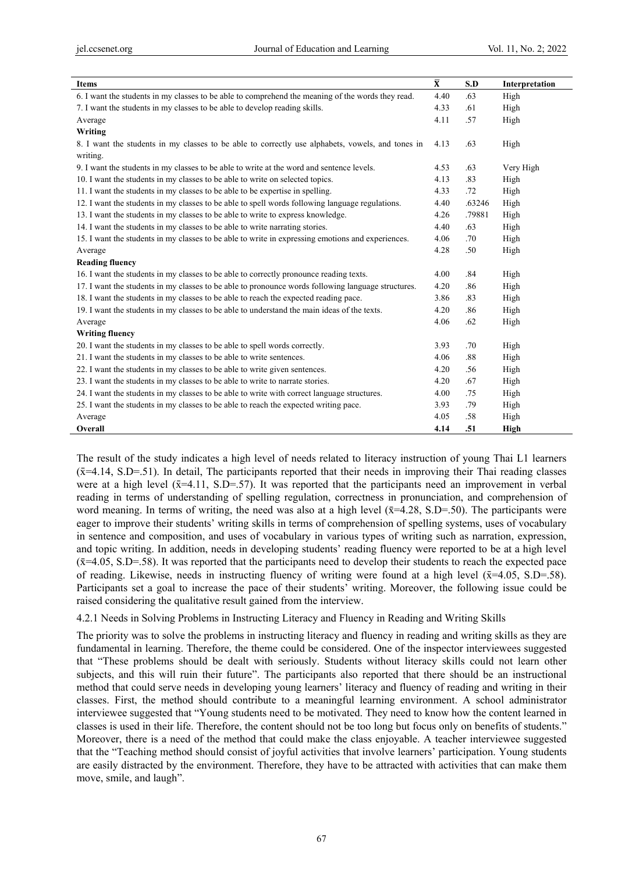| <b>Items</b>                                                                                       | $\overline{\mathbf{X}}$ | S.D    | Interpretation |
|----------------------------------------------------------------------------------------------------|-------------------------|--------|----------------|
| 6. I want the students in my classes to be able to comprehend the meaning of the words they read.  | 4.40                    | .63    | High           |
| 7. I want the students in my classes to be able to develop reading skills.                         | 4.33                    | .61    | High           |
| Average                                                                                            | 4.11                    | .57    | High           |
| Writing                                                                                            |                         |        |                |
| 8. I want the students in my classes to be able to correctly use alphabets, vowels, and tones in   | 4.13                    | .63    | High           |
| writing.                                                                                           |                         |        |                |
| 9. I want the students in my classes to be able to write at the word and sentence levels.          | 4.53                    | .63    | Very High      |
| 10. I want the students in my classes to be able to write on selected topics.                      | 4.13                    | .83    | High           |
| 11. I want the students in my classes to be able to be expertise in spelling.                      | 4.33                    | .72    | High           |
| 12. I want the students in my classes to be able to spell words following language regulations.    | 4.40                    | .63246 | High           |
| 13. I want the students in my classes to be able to write to express knowledge.                    | 4.26                    | .79881 | High           |
| 14. I want the students in my classes to be able to write narrating stories.                       | 4.40                    | .63    | High           |
| 15. I want the students in my classes to be able to write in expressing emotions and experiences.  | 4.06                    | .70    | High           |
| Average                                                                                            | 4.28                    | .50    | High           |
| <b>Reading fluency</b>                                                                             |                         |        |                |
| 16. I want the students in my classes to be able to correctly pronounce reading texts.             | 4.00                    | .84    | High           |
| 17. I want the students in my classes to be able to pronounce words following language structures. | 4.20                    | .86    | High           |
| 18. I want the students in my classes to be able to reach the expected reading pace.               | 3.86                    | .83    | High           |
| 19. I want the students in my classes to be able to understand the main ideas of the texts.        | 4.20                    | .86    | High           |
| Average                                                                                            | 4.06                    | .62    | High           |
| <b>Writing fluency</b>                                                                             |                         |        |                |
| 20. I want the students in my classes to be able to spell words correctly.                         | 3.93                    | .70    | High           |
| 21. I want the students in my classes to be able to write sentences.                               | 4.06                    | .88    | High           |
| 22. I want the students in my classes to be able to write given sentences.                         | 4.20                    | .56    | High           |
| 23. I want the students in my classes to be able to write to narrate stories.                      | 4.20                    | .67    | High           |
| 24. I want the students in my classes to be able to write with correct language structures.        | 4.00                    | .75    | High           |
| 25. I want the students in my classes to be able to reach the expected writing pace.               | 3.93                    | .79    | High           |
| Average                                                                                            | 4.05                    | .58    | High           |
| Overall                                                                                            | 4.14                    | .51    | High           |

The result of the study indicates a high level of needs related to literacy instruction of young Thai L1 learners  $(\bar{x}=4.14, S.D = .51)$ . In detail, The participants reported that their needs in improving their Thai reading classes were at a high level  $(\bar{x}=4.11, S.D=0.57)$ . It was reported that the participants need an improvement in verbal reading in terms of understanding of spelling regulation, correctness in pronunciation, and comprehension of word meaning. In terms of writing, the need was also at a high level  $(\bar{x}=4.28, S.D = .50)$ . The participants were eager to improve their students' writing skills in terms of comprehension of spelling systems, uses of vocabulary in sentence and composition, and uses of vocabulary in various types of writing such as narration, expression, and topic writing. In addition, needs in developing students' reading fluency were reported to be at a high level  $({\bar{x}}=4.05, S.D = .58)$ . It was reported that the participants need to develop their students to reach the expected pace of reading. Likewise, needs in instructing fluency of writing were found at a high level  $(\bar{x}=4.05, S.D = .58)$ . Participants set a goal to increase the pace of their students' writing. Moreover, the following issue could be raised considering the qualitative result gained from the interview.

4.2.1 Needs in Solving Problems in Instructing Literacy and Fluency in Reading and Writing Skills

The priority was to solve the problems in instructing literacy and fluency in reading and writing skills as they are fundamental in learning. Therefore, the theme could be considered. One of the inspector interviewees suggested that "These problems should be dealt with seriously. Students without literacy skills could not learn other subjects, and this will ruin their future". The participants also reported that there should be an instructional method that could serve needs in developing young learners' literacy and fluency of reading and writing in their classes. First, the method should contribute to a meaningful learning environment. A school administrator interviewee suggested that "Young students need to be motivated. They need to know how the content learned in classes is used in their life. Therefore, the content should not be too long but focus only on benefits of students." Moreover, there is a need of the method that could make the class enjoyable. A teacher interviewee suggested that the "Teaching method should consist of joyful activities that involve learners' participation. Young students are easily distracted by the environment. Therefore, they have to be attracted with activities that can make them move, smile, and laugh".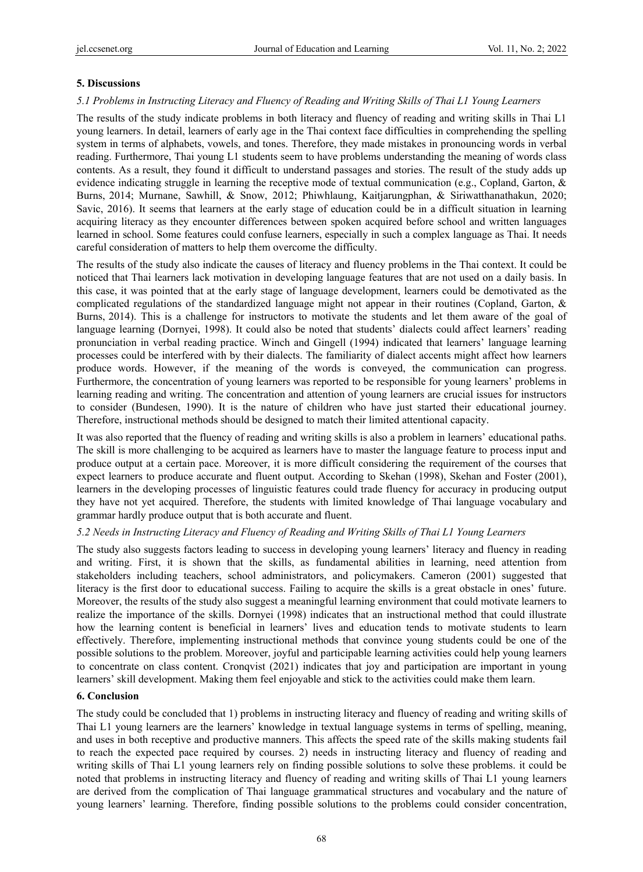# **5. Discussions**

# *5.1 Problems in Instructing Literacy and Fluency of Reading and Writing Skills of Thai L1 Young Learners*

The results of the study indicate problems in both literacy and fluency of reading and writing skills in Thai L1 young learners. In detail, learners of early age in the Thai context face difficulties in comprehending the spelling system in terms of alphabets, vowels, and tones. Therefore, they made mistakes in pronouncing words in verbal reading. Furthermore, Thai young L1 students seem to have problems understanding the meaning of words class contents. As a result, they found it difficult to understand passages and stories. The result of the study adds up evidence indicating struggle in learning the receptive mode of textual communication (e.g., Copland, Garton, & Burns, 2014; Murnane, Sawhill, & Snow, 2012; Phiwhlaung, Kaitjarungphan, & Siriwatthanathakun, 2020; Savic, 2016). It seems that learners at the early stage of education could be in a difficult situation in learning acquiring literacy as they encounter differences between spoken acquired before school and written languages learned in school. Some features could confuse learners, especially in such a complex language as Thai. It needs careful consideration of matters to help them overcome the difficulty.

The results of the study also indicate the causes of literacy and fluency problems in the Thai context. It could be noticed that Thai learners lack motivation in developing language features that are not used on a daily basis. In this case, it was pointed that at the early stage of language development, learners could be demotivated as the complicated regulations of the standardized language might not appear in their routines (Copland, Garton, & Burns, 2014). This is a challenge for instructors to motivate the students and let them aware of the goal of language learning (Dornyei, 1998). It could also be noted that students' dialects could affect learners' reading pronunciation in verbal reading practice. Winch and Gingell (1994) indicated that learners' language learning processes could be interfered with by their dialects. The familiarity of dialect accents might affect how learners produce words. However, if the meaning of the words is conveyed, the communication can progress. Furthermore, the concentration of young learners was reported to be responsible for young learners' problems in learning reading and writing. The concentration and attention of young learners are crucial issues for instructors to consider (Bundesen, 1990). It is the nature of children who have just started their educational journey. Therefore, instructional methods should be designed to match their limited attentional capacity.

It was also reported that the fluency of reading and writing skills is also a problem in learners' educational paths. The skill is more challenging to be acquired as learners have to master the language feature to process input and produce output at a certain pace. Moreover, it is more difficult considering the requirement of the courses that expect learners to produce accurate and fluent output. According to Skehan (1998), Skehan and Foster (2001), learners in the developing processes of linguistic features could trade fluency for accuracy in producing output they have not yet acquired. Therefore, the students with limited knowledge of Thai language vocabulary and grammar hardly produce output that is both accurate and fluent.

## *5.2 Needs in Instructing Literacy and Fluency of Reading and Writing Skills of Thai L1 Young Learners*

The study also suggests factors leading to success in developing young learners' literacy and fluency in reading and writing. First, it is shown that the skills, as fundamental abilities in learning, need attention from stakeholders including teachers, school administrators, and policymakers. Cameron (2001) suggested that literacy is the first door to educational success. Failing to acquire the skills is a great obstacle in ones' future. Moreover, the results of the study also suggest a meaningful learning environment that could motivate learners to realize the importance of the skills. Dornyei (1998) indicates that an instructional method that could illustrate how the learning content is beneficial in learners' lives and education tends to motivate students to learn effectively. Therefore, implementing instructional methods that convince young students could be one of the possible solutions to the problem. Moreover, joyful and participable learning activities could help young learners to concentrate on class content. Cronqvist (2021) indicates that joy and participation are important in young learners' skill development. Making them feel enjoyable and stick to the activities could make them learn.

## **6. Conclusion**

The study could be concluded that 1) problems in instructing literacy and fluency of reading and writing skills of Thai L1 young learners are the learners' knowledge in textual language systems in terms of spelling, meaning, and uses in both receptive and productive manners. This affects the speed rate of the skills making students fail to reach the expected pace required by courses. 2) needs in instructing literacy and fluency of reading and writing skills of Thai L1 young learners rely on finding possible solutions to solve these problems. it could be noted that problems in instructing literacy and fluency of reading and writing skills of Thai L1 young learners are derived from the complication of Thai language grammatical structures and vocabulary and the nature of young learners' learning. Therefore, finding possible solutions to the problems could consider concentration,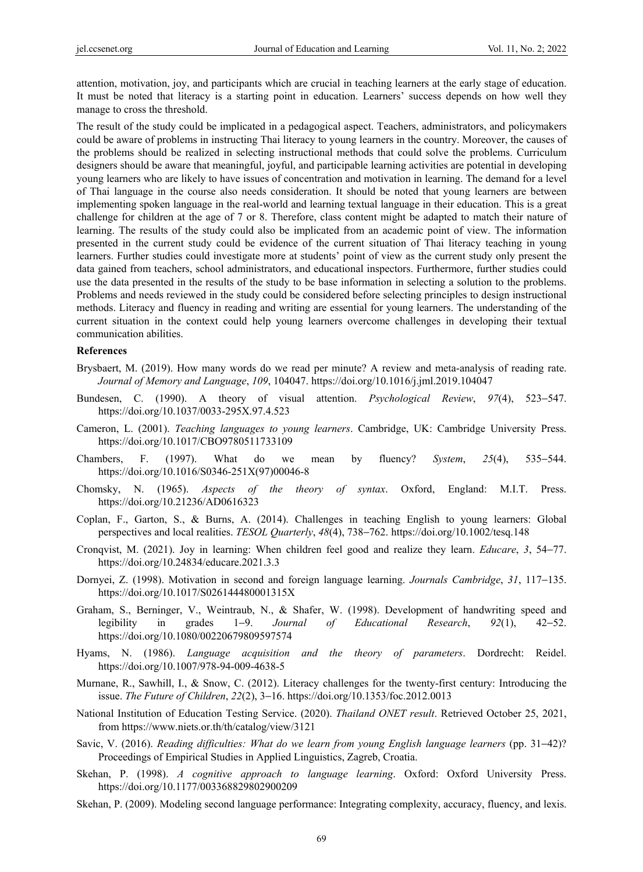attention, motivation, joy, and participants which are crucial in teaching learners at the early stage of education. It must be noted that literacy is a starting point in education. Learners' success depends on how well they manage to cross the threshold.

The result of the study could be implicated in a pedagogical aspect. Teachers, administrators, and policymakers could be aware of problems in instructing Thai literacy to young learners in the country. Moreover, the causes of the problems should be realized in selecting instructional methods that could solve the problems. Curriculum designers should be aware that meaningful, joyful, and participable learning activities are potential in developing young learners who are likely to have issues of concentration and motivation in learning. The demand for a level of Thai language in the course also needs consideration. It should be noted that young learners are between implementing spoken language in the real-world and learning textual language in their education. This is a great challenge for children at the age of 7 or 8. Therefore, class content might be adapted to match their nature of learning. The results of the study could also be implicated from an academic point of view. The information presented in the current study could be evidence of the current situation of Thai literacy teaching in young learners. Further studies could investigate more at students' point of view as the current study only present the data gained from teachers, school administrators, and educational inspectors. Furthermore, further studies could use the data presented in the results of the study to be base information in selecting a solution to the problems. Problems and needs reviewed in the study could be considered before selecting principles to design instructional methods. Literacy and fluency in reading and writing are essential for young learners. The understanding of the current situation in the context could help young learners overcome challenges in developing their textual communication abilities.

#### **References**

- Brysbaert, M. (2019). How many words do we read per minute? A review and meta-analysis of reading rate. *Journal of Memory and Language*, *109*, 104047. https://doi.org/10.1016/j.jml.2019.104047
- Bundesen, C. (1990). A theory of visual attention. *Psychological Review*, *97*(4), 523−547. https://doi.org/10.1037/0033-295X.97.4.523
- Cameron, L. (2001). *Teaching languages to young learners*. Cambridge, UK: Cambridge University Press. https://doi.org/10.1017/CBO9780511733109
- Chambers, F. (1997). What do we mean by fluency? *System*, *25*(4), 535−544. https://doi.org/10.1016/S0346-251X(97)00046-8
- Chomsky, N. (1965). *Aspects of the theory of syntax*. Oxford, England: M.I.T. Press. https://doi.org/10.21236/AD0616323
- Coplan, F., Garton, S., & Burns, A. (2014). Challenges in teaching English to young learners: Global perspectives and local realities. *TESOL Quarterly*, *48*(4), 738−762. https://doi.org/10.1002/tesq.148
- Cronqvist, M. (2021). Joy in learning: When children feel good and realize they learn. *Educare*, *3*, 54−77. https://doi.org/10.24834/educare.2021.3.3
- Dornyei, Z. (1998). Motivation in second and foreign language learning. *Journals Cambridge*, *31*, 117−135. https://doi.org/10.1017/S026144480001315X
- Graham, S., Berninger, V., Weintraub, N., & Shafer, W. (1998). Development of handwriting speed and legibility in grades 1−9. *Journal of Educational Research*, *92*(1), 42−52. https://doi.org/10.1080/00220679809597574
- Hyams, N. (1986). *Language acquisition and the theory of parameters*. Dordrecht: Reidel. https://doi.org/10.1007/978-94-009-4638-5
- Murnane, R., Sawhill, I., & Snow, C. (2012). Literacy challenges for the twenty-first century: Introducing the issue. *The Future of Children*, *22*(2), 3−16. https://doi.org/10.1353/foc.2012.0013
- National Institution of Education Testing Service. (2020). *Thailand ONET result*. Retrieved October 25, 2021, from https://www.niets.or.th/th/catalog/view/3121
- Savic, V. (2016). *Reading difficulties: What do we learn from young English language learners* (pp. 31−42)? Proceedings of Empirical Studies in Applied Linguistics, Zagreb, Croatia.
- Skehan, P. (1998). *A cognitive approach to language learning*. Oxford: Oxford University Press. https://doi.org/10.1177/003368829802900209
- Skehan, P. (2009). Modeling second language performance: Integrating complexity, accuracy, fluency, and lexis.